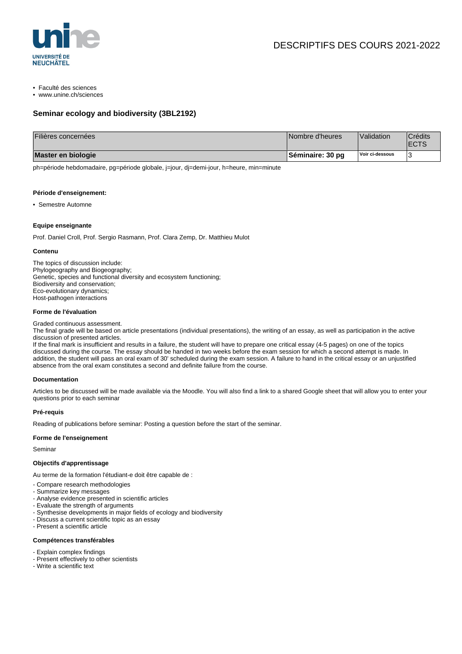

- Faculté des sciences
- www.unine.ch/sciences

# **Seminar ecology and biodiversity (3BL2192)**

| Filières concernées | Nombre d'heures  | Validation      | Crédits<br><b>'ECTS</b> |
|---------------------|------------------|-----------------|-------------------------|
| Master en biologie  | Séminaire: 30 pg | Voir ci-dessous |                         |

ph=période hebdomadaire, pg=période globale, j=jour, dj=demi-jour, h=heure, min=minute

#### **Période d'enseignement:**

• Semestre Automne

#### **Equipe enseignante**

Prof. Daniel Croll, Prof. Sergio Rasmann, Prof. Clara Zemp, Dr. Matthieu Mulot

#### **Contenu**

The topics of discussion include: Phylogeography and Biogeography; Genetic, species and functional diversity and ecosystem functioning; Biodiversity and conservation; Eco-evolutionary dynamics; Host-pathogen interactions

# **Forme de l'évaluation**

Graded continuous assessment.

The final grade will be based on article presentations (individual presentations), the writing of an essay, as well as participation in the active discussion of presented articles.

If the final mark is insufficient and results in a failure, the student will have to prepare one critical essay (4-5 pages) on one of the topics discussed during the course. The essay should be handed in two weeks before the exam session for which a second attempt is made. In addition, the student will pass an oral exam of 30' scheduled during the exam session. A failure to hand in the critical essay or an unjustified absence from the oral exam constitutes a second and definite failure from the course.

# **Documentation**

Articles to be discussed will be made available via the Moodle. You will also find a link to a shared Google sheet that will allow you to enter your questions prior to each seminar

#### **Pré-requis**

Reading of publications before seminar: Posting a question before the start of the seminar.

# **Forme de l'enseignement**

Seminar

# **Objectifs d'apprentissage**

Au terme de la formation l'étudiant-e doit être capable de :

- Compare research methodologies
- Summarize key messages
- Analyse evidence presented in scientific articles
- Evaluate the strength of arguments
- Synthesise developments in major fields of ecology and biodiversity
- Discuss a current scientific topic as an essay
- Present a scientific article

# **Compétences transférables**

- Explain complex findings
- Present effectively to other scientists
- Write a scientific text